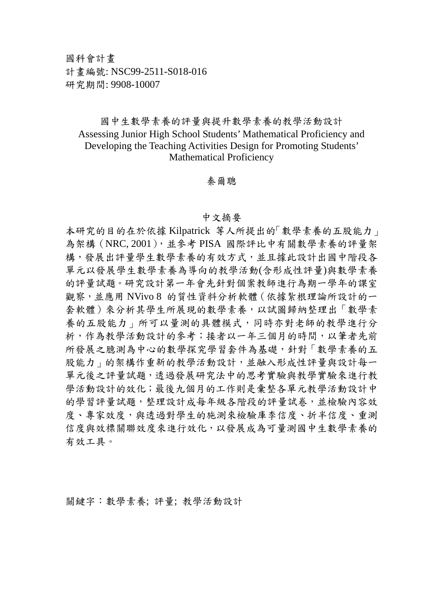## 國中生數學素養的評量與提升數學素養的教學活動設計 Assessing Junior High School Students' Mathematical Proficiency and Developing the Teaching Activities Design for Promoting Students' Mathematical Proficiency

秦爾聰

## 中文摘要

本研究的目的在於依據 Kilpatrick 等人所提出的「數學素養的五股能力」 為架構 (NRC, 2001), 並參考 PISA 國際評比中有關數學素養的評量架 構,發展出評量學生數學素養的有效方式,並且據此設計出國中階段各 單元以發展學生數學素養為導向的教學活動(含形成性評量)與數學素養 的評量試題。研究設計第一年會先針對個案教師進行為期一學年的課室 觀察,並應用 NVivo 8 的質性資料分析軟體(依據紮根理論所設計的一 套軟體)來分析其學生所展現的數學素養,以試圖歸納整理出「數學素 養的五股能力」所可以量測的具體模式,同時亦對老師的教學進行分 析,作為教學活動設計的參考;接者以一年三個月的時間,以筆者先前 所發展之臆測為中心的數學探究學習套件為基礎,針對「數學素養的五 股能力」的架構作重新的教學活動設計,並融入形成性評量與設計每一 單元後之評量試題,透過發展研究法中的思考實驗與教學實驗來進行教 學活動設計的效化;最後九個月的工作則是彙整各單元教學活動設計中 的學習評量試題,整理設計成每年級各階段的評量試卷,並檢驗內容效 度、專家效度,與透過對學生的施測來檢驗庫李信度、折半信度、重測 信度與效標關聯效度來進行效化,以發展成為可量測國中生數學素養的 有效工具。

關鍵字:數學素養; 評量; 教學活動設計